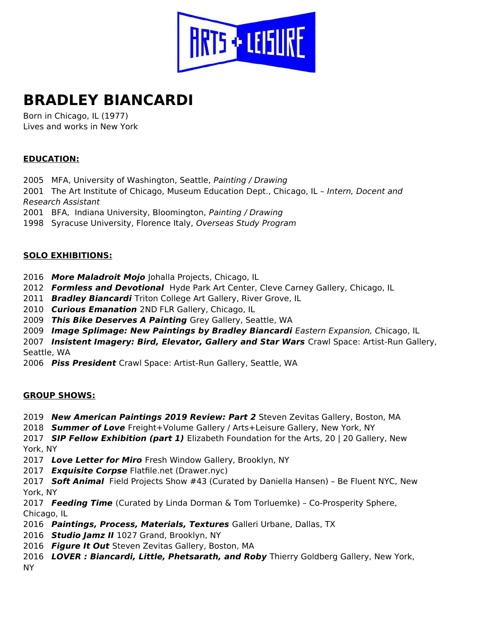

# BRADLEY BIANCARDI

Born in Chicago, IL (1977) Lives and works in New York

## EDUCATION:

2005 MFA, University of Washington, Seattle, Painting / Drawing

2001 The Art Institute of Chicago, Museum Education Dept., Chicago, IL - Intern, Docent and Research Assistant

2001 BFA, Indiana University, Bloomington, Painting / Drawing

1998 Syracuse University, Florence Italy, Overseas Study Program

### SOLO EXHIBITIONS:

- 2016 More Maladroit Mojo Johalla Projects, Chicago, IL
- 2012 Formless and Devotional Hyde Park Art Center, Cleve Carney Gallery, Chicago, IL
- 2011 Bradley Biancardi Triton College Art Gallery, River Grove, IL
- 2010 Curious Emanation 2ND FLR Gallery, Chicago, IL
- 2009 This Bike Deserves A Painting Grey Gallery, Seattle, WA
- 2009 Image Splimage: New Paintings by Bradley Biancardi Eastern Expansion, Chicago, IL

2007 Insistent Imagery: Bird, Elevator, Gallery and Star Wars Crawl Space: Artist-Run Gallery, Seattle, WA

2006 Piss President Crawl Space: Artist-Run Gallery, Seattle, WA

#### GROUP SHOWS:

- 2019 New American Paintings 2019 Review: Part 2 Steven Zevitas Gallery, Boston, MA
- 2018 **Summer of Love** Freight+Volume Gallery / Arts+Leisure Gallery, New York, NY

2017 SIP Fellow Exhibition (part 1) Elizabeth Foundation for the Arts, 20 | 20 Gallery, New York, NY

2017 Love Letter for Miro Fresh Window Gallery, Brooklyn, NY

2017 Exquisite Corpse Flatfile.net (Drawer.nyc)

2017 **Soft Animal** Field Projects Show #43 (Curated by Daniella Hansen) - Be Fluent NYC, New York, NY

2017 Feeding Time (Curated by Linda Dorman & Tom Torluemke) - Co-Prosperity Sphere, Chicago, IL

- 2016 Paintings, Process, Materials, Textures Galleri Urbane, Dallas, TX
- 2016 Studio Jamz II 1027 Grand, Brooklyn, NY
- 2016 Figure It Out Steven Zevitas Gallery, Boston, MA
- 2016 LOVER: Biancardi, Little, Phetsarath, and Roby Thierry Goldberg Gallery, New York, NY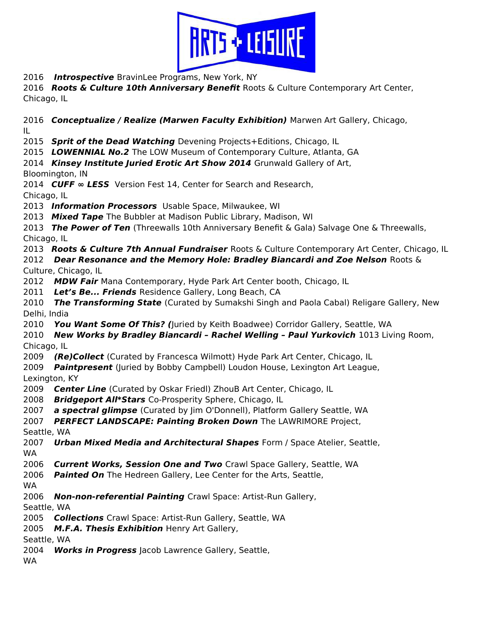

2016 Introspective BravinLee Programs, New York, NY

2016 Roots & Culture 10th Anniversary Benefit Roots & Culture Contemporary Art Center, Chicago, IL

2016 Conceptualize / Realize (Marwen Faculty Exhibition) Marwen Art Gallery, Chicago, IL

2015 Sprit of the Dead Watching Devening Projects+Editions, Chicago, IL

2015 LOWENNIAL No.2 The LOW Museum of Contemporary Culture, Atlanta, GA

2014 Kinsey Institute Juried Erotic Art Show 2014 Grunwald Gallery of Art, Bloomington, IN

2014 CUFF  $\infty$  LESS Version Fest 14, Center for Search and Research, Chicago, IL

2013 Information Processors Usable Space, Milwaukee, WI

2013 Mixed Tape The Bubbler at Madison Public Library, Madison, WI

2013 The Power of Ten (Threewalls 10th Anniversary Benefit & Gala) Salvage One & Threewalls, Chicago, IL

2013 **Roots & Culture 7th Annual Fundraiser** Roots & Culture Contemporary Art Center, Chicago, IL

2012 Dear Resonance and the Memory Hole: Bradley Biancardi and Zoe Nelson Roots  $\&$ Culture, Chicago, IL

2012 MDW Fair Mana Contemporary, Hyde Park Art Center booth, Chicago, IL

2011 Let's Be... Friends Residence Gallery, Long Beach, CA

2010 The Transforming State (Curated by Sumakshi Singh and Paola Cabal) Religare Gallery, New Delhi, India

2010 You Want Some Of This? (Juried by Keith Boadwee) Corridor Gallery, Seattle, WA

2010 New Works by Bradley Biancardi - Rachel Welling - Paul Yurkovich 1013 Living Room, Chicago, IL

2009 (Re)Collect (Curated by Francesca Wilmott) Hyde Park Art Center, Chicago, IL

2009 Paintpresent (Juried by Bobby Campbell) Loudon House, Lexington Art League, Lexington, KY

2009 Center Line (Curated by Oskar Friedl) ZhouB Art Center, Chicago, IL

2008 Bridgeport All\*Stars Co-Prosperity Sphere, Chicago, IL

2007 a spectral glimpse (Curated by Jim O'Donnell), Platform Gallery Seattle, WA

2007 PERFECT LANDSCAPE: Painting Broken Down The LAWRIMORE Project,

Seattle, WA

2007 Urban Mixed Media and Architectural Shapes Form / Space Atelier, Seattle, WA

2006 Current Works, Session One and Two Crawl Space Gallery, Seattle, WA

2006 Painted On The Hedreen Gallery, Lee Center for the Arts, Seattle,

WA

2006 Non-non-referential Painting Crawl Space: Artist-Run Gallery,

Seattle, WA

2005 Collections Crawl Space: Artist-Run Gallery, Seattle, WA

2005 M.F.A. Thesis Exhibition Henry Art Gallery,

Seattle, WA

2004 Works in Progress Jacob Lawrence Gallery, Seattle,

WA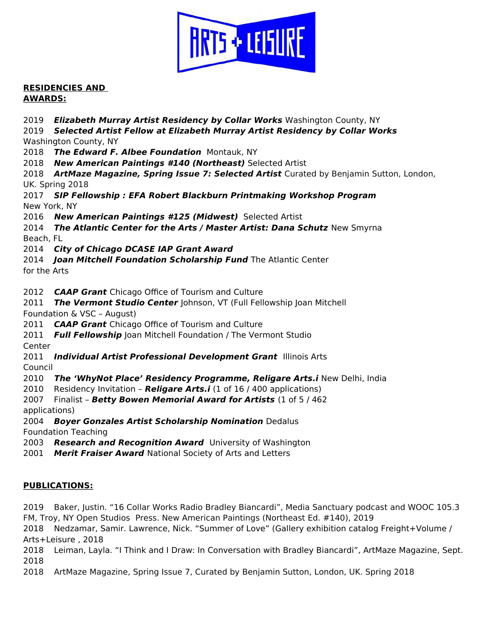

RESIDENCIES AND AWARDS:

2019 Elizabeth Murray Artist Residency by Collar Works Washington County, NY

2019 Selected Artist Fellow at Elizabeth Murray Artist Residency by Collar Works Washington County, NY

2018 The Edward F. Albee Foundation Montauk, NY

2018 New American Paintings #140 (Northeast) Selected Artist

2018 ArtMaze Magazine, Spring Issue 7: Selected Artist Curated by Benjamin Sutton, London, UK. Spring 2018

2017 SIP Fellowship : EFA Robert Blackburn Printmaking Workshop Program New York, NY

2016 New American Paintings #125 (Midwest) Selected Artist

2014 The Atlantic Center for the Arts / Master Artist: Dana Schutz New Smyrna Beach, FL

2014 City of Chicago DCASE IAP Grant Award

2014 **Joan Mitchell Foundation Scholarship Fund** The Atlantic Center

for the Arts

2012 **CAAP Grant** Chicago Office of Tourism and Culture

2011 The Vermont Studio Center Johnson, VT (Full Fellowship Joan Mitchell Foundation & VSC – August)

2011 **CAAP Grant** Chicago Office of Tourism and Culture

2011 Full Fellowship Joan Mitchell Foundation / The Vermont Studio

Center

2011 Individual Artist Professional Development Grant Illinois Arts Council

2010 The 'WhyNot Place' Residency Programme, Religare Arts.i New Delhi, India

2010 Residency Invitation – Religare Arts.i (1 of 16 / 400 applications)

2007 Finalist - Betty Bowen Memorial Award for Artists (1 of 5 / 462) applications)

2004 Boyer Gonzales Artist Scholarship Nomination Dedalus Foundation Teaching

2003 Research and Recognition Award University of Washington

2001 Merit Fraiser Award National Society of Arts and Letters

## PUBLICATIONS:

2019 Baker, Justin. "16 Collar Works Radio Bradley Biancardi", Media Sanctuary podcast and WOOC 105.3 FM, Troy, NY Open Studios Press. New American Paintings (Northeast Ed. #140), 2019

2018 Nedzamar, Samir. Lawrence, Nick. "Summer of Love" (Gallery exhibition catalog Freight+Volume / Arts+Leisure , 2018

2018 Leiman, Layla. "I Think and I Draw: In Conversation with Bradley Biancardi", ArtMaze Magazine, Sept. 2018

2018 ArtMaze Magazine, Spring Issue 7, Curated by Benjamin Sutton, London, UK. Spring 2018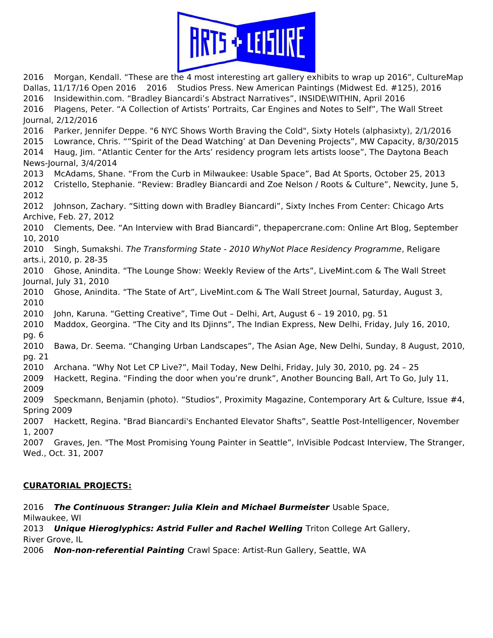

2016 Morgan, Kendall. "These are the 4 most interesting art gallery exhibits to wrap up 2016", CultureMap Dallas, 11/17/16 Open 2016 2016 Studios Press. New American Paintings (Midwest Ed. #125), 2016 2016 Insidewithin.com. "Bradley Biancardi's Abstract Narratives", INSIDE\WITHIN, April 2016 2016 Plagens, Peter. "A Collection of Artists' Portraits, Car Engines and Notes to Self", The Wall Street Journal, 2/12/2016 2016 Parker, Jennifer Deppe. "6 NYC Shows Worth Braving the Cold", Sixty Hotels (alphasixty), 2/1/2016 2015 Lowrance, Chris. ""Spirit of the Dead Watching' at Dan Devening Projects", MW Capacity, 8/30/2015 2014 Haug, Jim. "Atlantic Center for the Arts' residency program lets artists loose", The Daytona Beach News-Journal, 3/4/2014 2013 McAdams, Shane. "From the Curb in Milwaukee: Usable Space", Bad At Sports, October 25, 2013 2012 Cristello, Stephanie. "Review: Bradley Biancardi and Zoe Nelson / Roots & Culture", Newcity, June 5, 2012 2012 Johnson, Zachary. "Sitting down with Bradley Biancardi", Sixty Inches From Center: Chicago Arts Archive, Feb. 27, 2012 2010 Clements, Dee. "An Interview with Brad Biancardi", thepapercrane.com: Online Art Blog, September 10, 2010 2010 Singh, Sumakshi. The Transforming State - 2010 WhyNot Place Residency Programme, Religare arts.i, 2010, p. 28-35 2010 Ghose, Anindita. "The Lounge Show: Weekly Review of the Arts", LiveMint.com & The Wall Street Journal, July 31, 2010 2010 Ghose, Anindita. "The State of Art", LiveMint.com & The Wall Street Journal, Saturday, August 3, 2010 2010 John, Karuna. "Getting Creative", Time Out – Delhi, Art, August 6 – 19 2010, pg. 51 2010 Maddox, Georgina. "The City and Its Djinns", The Indian Express, New Delhi, Friday, July 16, 2010, pg. 6 2010 Bawa, Dr. Seema. "Changing Urban Landscapes", The Asian Age, New Delhi, Sunday, 8 August, 2010, pg. 21 2010 Archana. "Why Not Let CP Live?", Mail Today, New Delhi, Friday, July 30, 2010, pg. 24 – 25 2009 Hackett, Regina. "Finding the door when you're drunk", Another Bouncing Ball, Art To Go, July 11, 2009 2009 Speckmann, Benjamin (photo). "Studios", Proximity Magazine, Contemporary Art & Culture, Issue #4, Spring 2009 2007 Hackett, Regina. "Brad Biancardi's Enchanted Elevator Shafts", Seattle Post-Intelligencer, November 1, 2007 2007 Graves, Jen. "The Most Promising Young Painter in Seattle", InVisible Podcast Interview, The Stranger, Wed., Oct. 31, 2007

## CURATORIAL PROJECTS:

2016 The Continuous Stranger: Julia Klein and Michael Burmeister Usable Space, Milwaukee, WI 2013 Unique Hieroglyphics: Astrid Fuller and Rachel Welling Triton College Art Gallery, River Grove, IL

2006 Non-non-referential Painting Crawl Space: Artist-Run Gallery, Seattle, WA